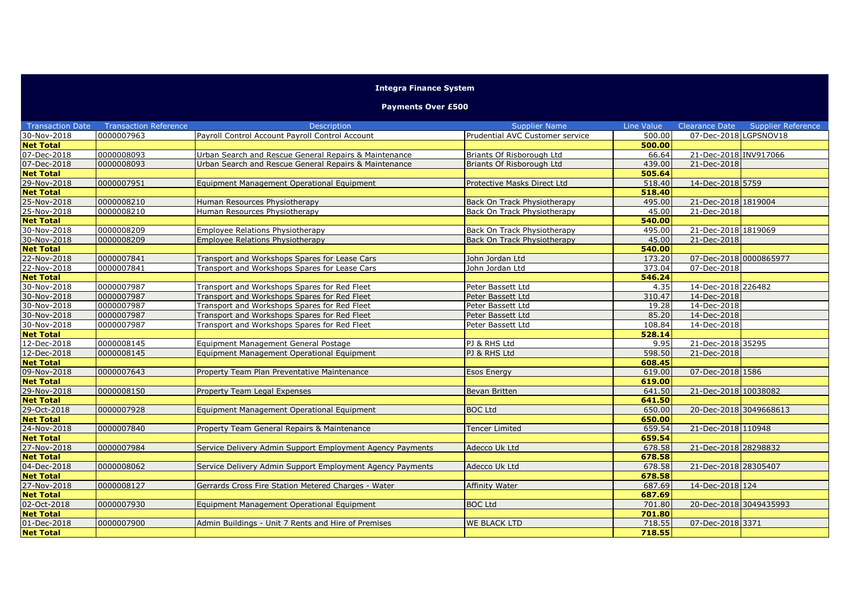## **Integra Finance System**

## **Payments Over £500**

| <b>Transaction Date</b> | <b>Transaction Reference</b> | <b>Description</b>                                        | <b>Supplier Name</b>            | <b>Line Value</b> | Clearance Date         | <b>Supplier Reference</b> |
|-------------------------|------------------------------|-----------------------------------------------------------|---------------------------------|-------------------|------------------------|---------------------------|
| 30-Nov-2018             | 0000007963                   | Payroll Control Account Payroll Control Account           | Prudential AVC Customer service | 500.00            | 07-Dec-2018 LGPSNOV18  |                           |
| <b>Net Total</b>        |                              |                                                           |                                 | 500.00            |                        |                           |
| 07-Dec-2018             | 0000008093                   | Urban Search and Rescue General Repairs & Maintenance     | Briants Of Risborough Ltd       | 66.64             | 21-Dec-2018 INV917066  |                           |
| 07-Dec-2018             | 0000008093                   | Urban Search and Rescue General Repairs & Maintenance     | Briants Of Risborough Ltd       | 439.00            | 21-Dec-2018            |                           |
| <b>Net Total</b>        |                              |                                                           |                                 | 505.64            |                        |                           |
| 29-Nov-2018             | 0000007951                   | Equipment Management Operational Equipment                | Protective Masks Direct Ltd     | 518.40            | 14-Dec-2018 5759       |                           |
| <b>Net Total</b>        |                              |                                                           |                                 | 518.40            |                        |                           |
| 25-Nov-2018             | 0000008210                   | Human Resources Physiotherapy                             | Back On Track Physiotherapy     | 495.00            | 21-Dec-2018 1819004    |                           |
| 25-Nov-2018             | 0000008210                   | Human Resources Physiotherapy                             | Back On Track Physiotherapy     | 45.00             | 21-Dec-2018            |                           |
| <b>Net Total</b>        |                              |                                                           |                                 | 540.00            |                        |                           |
| 30-Nov-2018             | 0000008209                   | <b>Employee Relations Physiotherapy</b>                   | Back On Track Physiotherapy     | 495.00            | 21-Dec-2018 1819069    |                           |
| 30-Nov-2018             | 0000008209                   | <b>Employee Relations Physiotherapy</b>                   | Back On Track Physiotherapy     | 45.00             | 21-Dec-2018            |                           |
| <b>Net Total</b>        |                              |                                                           |                                 | 540.00            |                        |                           |
| 22-Nov-2018             | 0000007841                   | Transport and Workshops Spares for Lease Cars             | John Jordan Ltd                 | 173.20            | 07-Dec-2018 0000865977 |                           |
| 22-Nov-2018             | 0000007841                   | Transport and Workshops Spares for Lease Cars             | John Jordan Ltd                 | 373.04            | 07-Dec-2018            |                           |
| <b>Net Total</b>        |                              |                                                           |                                 | 546.24            |                        |                           |
| 30-Nov-2018             | 0000007987                   | Transport and Workshops Spares for Red Fleet              | Peter Bassett Ltd               | 4.35              | 14-Dec-2018 226482     |                           |
| 30-Nov-2018             | 0000007987                   | Transport and Workshops Spares for Red Fleet              | Peter Bassett Ltd               | 310.47            | 14-Dec-2018            |                           |
| 30-Nov-2018             | 0000007987                   | Transport and Workshops Spares for Red Fleet              | Peter Bassett Ltd               | 19.28             | 14-Dec-2018            |                           |
| 30-Nov-2018             | 0000007987                   | Transport and Workshops Spares for Red Fleet              | Peter Bassett Ltd               | 85.20             | 14-Dec-2018            |                           |
| 30-Nov-2018             | 0000007987                   | Transport and Workshops Spares for Red Fleet              | Peter Bassett Ltd               | 108.84            | 14-Dec-2018            |                           |
| <b>Net Total</b>        |                              |                                                           |                                 | 528.14            |                        |                           |
| 12-Dec-2018             | 0000008145                   | Equipment Management General Postage                      | PJ & RHS Ltd                    | 9.95              | 21-Dec-2018 35295      |                           |
| 12-Dec-2018             | 0000008145                   | Equipment Management Operational Equipment                | PJ & RHS Ltd                    | 598.50            | 21-Dec-2018            |                           |
| <b>Net Total</b>        |                              |                                                           |                                 | 608.45            |                        |                           |
| 09-Nov-2018             | 0000007643                   | Property Team Plan Preventative Maintenance               | <b>Esos Energy</b>              | 619.00            | 07-Dec-2018 1586       |                           |
| <b>Net Total</b>        |                              |                                                           |                                 | 619.00            |                        |                           |
| 29-Nov-2018             | 0000008150                   | Property Team Legal Expenses                              | Bevan Britten                   | 641.50            | 21-Dec-2018 10038082   |                           |
| <b>Net Total</b>        |                              |                                                           |                                 | 641.50            |                        |                           |
| 29-Oct-2018             | 0000007928                   | Equipment Management Operational Equipment                | <b>BOC Ltd</b>                  | 650.00            | 20-Dec-2018 3049668613 |                           |
| <b>Net Total</b>        |                              |                                                           |                                 | 650.00            |                        |                           |
| 24-Nov-2018             | 0000007840                   | Property Team General Repairs & Maintenance               | <b>Tencer Limited</b>           | 659.54            | 21-Dec-2018 110948     |                           |
| <b>Net Total</b>        |                              |                                                           |                                 | 659.54            |                        |                           |
| 27-Nov-2018             | 0000007984                   | Service Delivery Admin Support Employment Agency Payments | Adecco Uk Ltd                   | 678.58            | 21-Dec-2018 28298832   |                           |
| <b>Net Total</b>        |                              |                                                           |                                 | 678.58            |                        |                           |
| 04-Dec-2018             | 0000008062                   | Service Delivery Admin Support Employment Agency Payments | Adecco Uk Ltd                   | 678.58            | 21-Dec-2018 28305407   |                           |
| <b>Net Total</b>        |                              |                                                           |                                 | 678.58            |                        |                           |
| 27-Nov-2018             | 0000008127                   | Gerrards Cross Fire Station Metered Charges - Water       | Affinity Water                  | 687.69            | 14-Dec-2018 124        |                           |
| <b>Net Total</b>        |                              |                                                           |                                 | 687.69            |                        |                           |
| 02-Oct-2018             | 0000007930                   | Equipment Management Operational Equipment                | <b>BOC Ltd</b>                  | 701.80            | 20-Dec-2018 3049435993 |                           |
| <b>Net Total</b>        |                              |                                                           |                                 | 701.80            |                        |                           |
| 01-Dec-2018             | 0000007900                   | Admin Buildings - Unit 7 Rents and Hire of Premises       | <b>WE BLACK LTD</b>             | 718.55            | 07-Dec-2018 3371       |                           |
| <b>Net Total</b>        |                              |                                                           |                                 | 718.55            |                        |                           |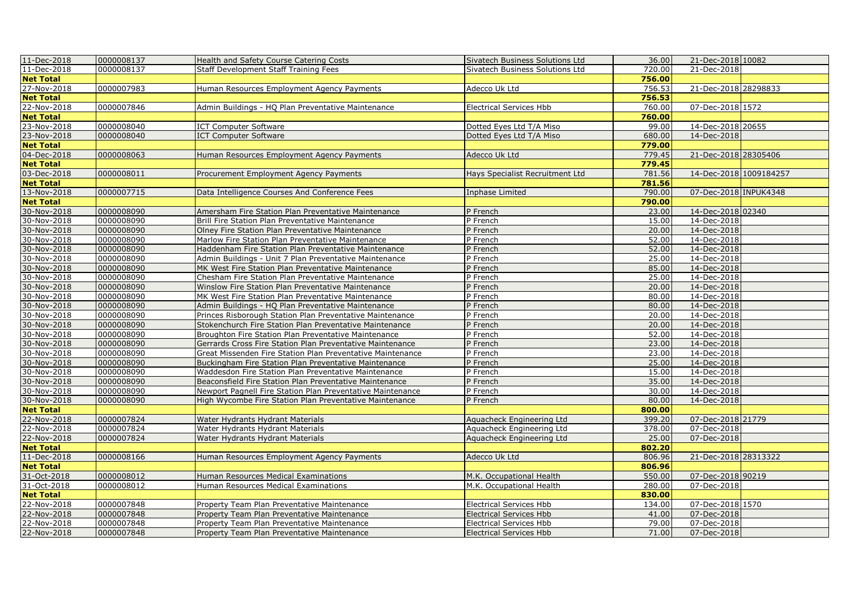| 11-Dec-2018      | 0000008137 | Health and Safety Course Catering Costs                    | Sivatech Business Solutions Ltd | 36.00  | 21-Dec-2018 10082      |  |
|------------------|------------|------------------------------------------------------------|---------------------------------|--------|------------------------|--|
| 11-Dec-2018      | 0000008137 | <b>Staff Development Staff Training Fees</b>               | Sivatech Business Solutions Ltd | 720.00 | 21-Dec-2018            |  |
| <b>Net Total</b> |            |                                                            |                                 | 756.00 |                        |  |
| 27-Nov-2018      | 0000007983 | Human Resources Employment Agency Payments                 | Adecco Uk Ltd                   | 756.53 | 21-Dec-2018 28298833   |  |
| <b>Net Total</b> |            |                                                            |                                 | 756.53 |                        |  |
| 22-Nov-2018      | 0000007846 | Admin Buildings - HQ Plan Preventative Maintenance         | <b>Electrical Services Hbb</b>  | 760.00 | 07-Dec-2018 1572       |  |
| <b>Net Total</b> |            |                                                            |                                 | 760.00 |                        |  |
| 23-Nov-2018      | 0000008040 | <b>ICT Computer Software</b>                               | Dotted Eyes Ltd T/A Miso        | 99.00  | 14-Dec-2018 20655      |  |
| 23-Nov-2018      | 0000008040 | <b>ICT Computer Software</b>                               | Dotted Eyes Ltd T/A Miso        | 680.00 | 14-Dec-2018            |  |
| <b>Net Total</b> |            |                                                            |                                 | 779.00 |                        |  |
| 04-Dec-2018      | 0000008063 | Human Resources Employment Agency Payments                 | Adecco Uk Ltd                   | 779.45 | 21-Dec-2018 28305406   |  |
| <b>Net Total</b> |            |                                                            |                                 | 779.45 |                        |  |
| 03-Dec-2018      | 0000008011 | Procurement Employment Agency Payments                     | Hays Specialist Recruitment Ltd | 781.56 | 14-Dec-2018 1009184257 |  |
| <b>Net Total</b> |            |                                                            |                                 | 781.56 |                        |  |
| 13-Nov-2018      | 0000007715 | Data Intelligence Courses And Conference Fees              | Inphase Limited                 | 790.00 | 07-Dec-2018 INPUK4348  |  |
| <b>Net Total</b> |            |                                                            |                                 | 790.00 |                        |  |
| 30-Nov-2018      | 0000008090 | Amersham Fire Station Plan Preventative Maintenance        | P French                        | 23.00  | 14-Dec-2018 02340      |  |
| 30-Nov-2018      | 0000008090 | Brill Fire Station Plan Preventative Maintenance           | P French                        | 15.00  | 14-Dec-2018            |  |
| 30-Nov-2018      | 0000008090 | Olney Fire Station Plan Preventative Maintenance           | P French                        | 20.00  | 14-Dec-2018            |  |
| 30-Nov-2018      | 0000008090 | Marlow Fire Station Plan Preventative Maintenance          | P French                        | 52.00  | 14-Dec-2018            |  |
| 30-Nov-2018      | 0000008090 | Haddenham Fire Station Plan Preventative Maintenance       | P French                        | 52.00  | 14-Dec-2018            |  |
| 30-Nov-2018      | 0000008090 | Admin Buildings - Unit 7 Plan Preventative Maintenance     | P French                        | 25.00  | 14-Dec-2018            |  |
| 30-Nov-2018      | 0000008090 | MK West Fire Station Plan Preventative Maintenance         | P French                        | 85.00  | 14-Dec-2018            |  |
| 30-Nov-2018      | 0000008090 | Chesham Fire Station Plan Preventative Maintenance         | P French                        | 25.00  | 14-Dec-2018            |  |
| 30-Nov-2018      | 0000008090 | Winslow Fire Station Plan Preventative Maintenance         | P French                        | 20.00  | 14-Dec-2018            |  |
| 30-Nov-2018      | 0000008090 | MK West Fire Station Plan Preventative Maintenance         | P French                        | 80.00  | 14-Dec-2018            |  |
| 30-Nov-2018      | 0000008090 | Admin Buildings - HQ Plan Preventative Maintenance         | P French                        | 80.00  | 14-Dec-2018            |  |
| 30-Nov-2018      | 0000008090 | Princes Risborough Station Plan Preventative Maintenance   | P French                        | 20.00  | 14-Dec-2018            |  |
| 30-Nov-2018      | 0000008090 | Stokenchurch Fire Station Plan Preventative Maintenance    | P French                        | 20.00  | 14-Dec-2018            |  |
| 30-Nov-2018      | 0000008090 | Broughton Fire Station Plan Preventative Maintenance       | P French                        | 52.00  | 14-Dec-2018            |  |
| 30-Nov-2018      | 0000008090 | Gerrards Cross Fire Station Plan Preventative Maintenance  | P French                        | 23.00  | 14-Dec-2018            |  |
| 30-Nov-2018      | 0000008090 | Great Missenden Fire Station Plan Preventative Maintenance | P French                        | 23.00  | 14-Dec-2018            |  |
| 30-Nov-2018      | 0000008090 | Buckingham Fire Station Plan Preventative Maintenance      | P French                        | 25.00  | 14-Dec-2018            |  |
| 30-Nov-2018      | 0000008090 | Waddesdon Fire Station Plan Preventative Maintenance       | P French                        | 15.00  | 14-Dec-2018            |  |
| 30-Nov-2018      | 0000008090 | Beaconsfield Fire Station Plan Preventative Maintenance    | P French                        | 35.00  | 14-Dec-2018            |  |
| 30-Nov-2018      | 0000008090 | Newport Pagnell Fire Station Plan Preventative Maintenance | P French                        | 30.00  | 14-Dec-2018            |  |
| 30-Nov-2018      | 0000008090 | High Wycombe Fire Station Plan Preventative Maintenance    | P French                        | 80.00  | 14-Dec-2018            |  |
| <b>Net Total</b> |            |                                                            |                                 | 800.00 |                        |  |
| 22-Nov-2018      | 0000007824 | Water Hydrants Hydrant Materials                           | Aquacheck Engineering Ltd       | 399.20 | 07-Dec-2018 21779      |  |
| 22-Nov-2018      | 0000007824 | Water Hydrants Hydrant Materials                           | Aquacheck Engineering Ltd       | 378.00 | 07-Dec-2018            |  |
| 22-Nov-2018      | 0000007824 | Water Hydrants Hydrant Materials                           | Aquacheck Engineering Ltd       | 25.00  | 07-Dec-2018            |  |
| <b>Net Total</b> |            |                                                            |                                 | 802.20 |                        |  |
| 11-Dec-2018      | 0000008166 | Human Resources Employment Agency Payments                 | Adecco Uk Ltd                   | 806.96 | 21-Dec-2018 28313322   |  |
| <b>Net Total</b> |            |                                                            |                                 | 806.96 |                        |  |
| 31-Oct-2018      | 0000008012 | Human Resources Medical Examinations                       | M.K. Occupational Health        | 550.00 | 07-Dec-2018 90219      |  |
| 31-Oct-2018      | 0000008012 | Human Resources Medical Examinations                       | M.K. Occupational Health        | 280.00 | 07-Dec-2018            |  |
| <b>Net Total</b> |            |                                                            |                                 | 830.00 |                        |  |
| 22-Nov-2018      | 0000007848 | Property Team Plan Preventative Maintenance                | <b>Electrical Services Hbb</b>  | 134.00 | 07-Dec-2018 1570       |  |
| 22-Nov-2018      | 0000007848 | Property Team Plan Preventative Maintenance                | <b>Electrical Services Hbb</b>  | 41.00  | 07-Dec-2018            |  |
| 22-Nov-2018      | 0000007848 | Property Team Plan Preventative Maintenance                | <b>Electrical Services Hbb</b>  | 79.00  | 07-Dec-2018            |  |
| 22-Nov-2018      | 0000007848 | Property Team Plan Preventative Maintenance                | <b>Electrical Services Hbb</b>  | 71.00  | 07-Dec-2018            |  |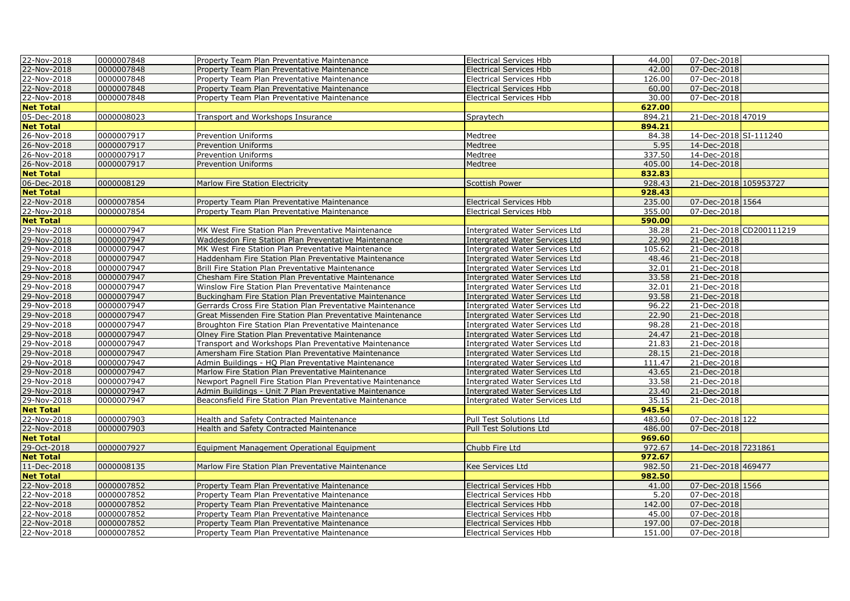| 22-Nov-2018      | 0000007848 | Property Team Plan Preventative Maintenance                | <b>Electrical Services Hbb</b>        | 44.00  | 07-Dec-2018           |                         |
|------------------|------------|------------------------------------------------------------|---------------------------------------|--------|-----------------------|-------------------------|
| 22-Nov-2018      | 0000007848 | Property Team Plan Preventative Maintenance                | <b>Electrical Services Hbb</b>        | 42.00  | 07-Dec-2018           |                         |
| 22-Nov-2018      | 0000007848 | Property Team Plan Preventative Maintenance                | <b>Electrical Services Hbb</b>        | 126.00 | 07-Dec-2018           |                         |
| 22-Nov-2018      | 0000007848 | Property Team Plan Preventative Maintenance                | <b>Electrical Services Hbb</b>        | 60.00  | 07-Dec-2018           |                         |
| 22-Nov-2018      | 0000007848 | Property Team Plan Preventative Maintenance                | <b>Electrical Services Hbb</b>        | 30.00  | 07-Dec-2018           |                         |
| <b>Net Total</b> |            |                                                            |                                       | 627.00 |                       |                         |
| 05-Dec-2018      | 0000008023 | Transport and Workshops Insurance                          | Spraytech                             | 894.21 | 21-Dec-2018 47019     |                         |
| <b>Net Total</b> |            |                                                            |                                       | 894.21 |                       |                         |
| 26-Nov-2018      | 0000007917 | <b>Prevention Uniforms</b>                                 | Medtree                               | 84.38  | 14-Dec-2018 SI-111240 |                         |
| 26-Nov-2018      | 0000007917 | <b>Prevention Uniforms</b>                                 | Medtree                               | 5.95   | 14-Dec-2018           |                         |
| 26-Nov-2018      | 0000007917 | <b>Prevention Uniforms</b>                                 | Medtree                               | 337.50 | 14-Dec-2018           |                         |
| 26-Nov-2018      | 0000007917 | <b>Prevention Uniforms</b>                                 | Medtree                               | 405.00 | 14-Dec-2018           |                         |
| <b>Net Total</b> |            |                                                            |                                       | 832.83 |                       |                         |
| 06-Dec-2018      | 0000008129 | Marlow Fire Station Electricity                            | <b>Scottish Power</b>                 | 928.43 | 21-Dec-2018 105953727 |                         |
| <b>Net Total</b> |            |                                                            |                                       | 928.43 |                       |                         |
| 22-Nov-2018      | 0000007854 | Property Team Plan Preventative Maintenance                | <b>Electrical Services Hbb</b>        | 235.00 | 07-Dec-2018 1564      |                         |
| 22-Nov-2018      | 0000007854 | Property Team Plan Preventative Maintenance                | <b>Electrical Services Hbb</b>        | 355.00 | 07-Dec-2018           |                         |
| <b>Net Total</b> |            |                                                            |                                       | 590.00 |                       |                         |
| 29-Nov-2018      | 0000007947 | MK West Fire Station Plan Preventative Maintenance         | <b>Intergrated Water Services Ltd</b> | 38.28  |                       | 21-Dec-2018 CD200111219 |
| 29-Nov-2018      | 0000007947 | Waddesdon Fire Station Plan Preventative Maintenance       | <b>Intergrated Water Services Ltd</b> | 22.90  | 21-Dec-2018           |                         |
| 29-Nov-2018      | 0000007947 | MK West Fire Station Plan Preventative Maintenance         | <b>Intergrated Water Services Ltd</b> | 105.62 | 21-Dec-2018           |                         |
| 29-Nov-2018      | 0000007947 | Haddenham Fire Station Plan Preventative Maintenance       | <b>Intergrated Water Services Ltd</b> | 48.46  | 21-Dec-2018           |                         |
| 29-Nov-2018      | 0000007947 | Brill Fire Station Plan Preventative Maintenance           | <b>Intergrated Water Services Ltd</b> | 32.01  | 21-Dec-2018           |                         |
| 29-Nov-2018      | 0000007947 | Chesham Fire Station Plan Preventative Maintenance         | <b>Intergrated Water Services Ltd</b> | 33.58  | 21-Dec-2018           |                         |
| 29-Nov-2018      | 0000007947 | Winslow Fire Station Plan Preventative Maintenance         | <b>Intergrated Water Services Ltd</b> | 32.01  | 21-Dec-2018           |                         |
| 29-Nov-2018      | 0000007947 | Buckingham Fire Station Plan Preventative Maintenance      | <b>Intergrated Water Services Ltd</b> | 93.58  | 21-Dec-2018           |                         |
| 29-Nov-2018      | 0000007947 | Gerrards Cross Fire Station Plan Preventative Maintenance  | <b>Intergrated Water Services Ltd</b> | 96.22  | 21-Dec-2018           |                         |
| 29-Nov-2018      | 0000007947 | Great Missenden Fire Station Plan Preventative Maintenance | <b>Intergrated Water Services Ltd</b> | 22.90  | 21-Dec-2018           |                         |
| 29-Nov-2018      | 0000007947 | Broughton Fire Station Plan Preventative Maintenance       | <b>Intergrated Water Services Ltd</b> | 98.28  | 21-Dec-2018           |                         |
| 29-Nov-2018      | 0000007947 | Olney Fire Station Plan Preventative Maintenance           | Intergrated Water Services Ltd        | 24.47  | 21-Dec-2018           |                         |
| 29-Nov-2018      | 0000007947 | Transport and Workshops Plan Preventative Maintenance      | Intergrated Water Services Ltd        | 21.83  | 21-Dec-2018           |                         |
| 29-Nov-2018      | 0000007947 | Amersham Fire Station Plan Preventative Maintenance        | <b>Intergrated Water Services Ltd</b> | 28.15  | 21-Dec-2018           |                         |
| 29-Nov-2018      | 0000007947 | Admin Buildings - HQ Plan Preventative Maintenance         | Intergrated Water Services Ltd        | 111.47 | 21-Dec-2018           |                         |
| 29-Nov-2018      | 0000007947 | Marlow Fire Station Plan Preventative Maintenance          | <b>Intergrated Water Services Ltd</b> | 43.65  | 21-Dec-2018           |                         |
| 29-Nov-2018      | 0000007947 | Newport Pagnell Fire Station Plan Preventative Maintenance | <b>Intergrated Water Services Ltd</b> | 33.58  | 21-Dec-2018           |                         |
| 29-Nov-2018      | 0000007947 | Admin Buildings - Unit 7 Plan Preventative Maintenance     | <b>Intergrated Water Services Ltd</b> | 23.40  | 21-Dec-2018           |                         |
| 29-Nov-2018      | 0000007947 | Beaconsfield Fire Station Plan Preventative Maintenance    | <b>Intergrated Water Services Ltd</b> | 35.15  | 21-Dec-2018           |                         |
| <b>Net Total</b> |            |                                                            |                                       | 945.54 |                       |                         |
| 22-Nov-2018      | 0000007903 | Health and Safety Contracted Maintenance                   | Pull Test Solutions Ltd               | 483.60 | 07-Dec-2018 122       |                         |
| 22-Nov-2018      | 0000007903 | Health and Safety Contracted Maintenance                   | Pull Test Solutions Ltd               | 486.00 | 07-Dec-2018           |                         |
| <b>Net Total</b> |            |                                                            |                                       | 969.60 |                       |                         |
| 29-Oct-2018      | 0000007927 | Equipment Management Operational Equipment                 | Chubb Fire Ltd                        | 972.67 | 14-Dec-2018 7231861   |                         |
| <b>Net Total</b> |            |                                                            |                                       | 972.67 |                       |                         |
| 11-Dec-2018      | 0000008135 | Marlow Fire Station Plan Preventative Maintenance          | Kee Services Ltd                      | 982.50 | 21-Dec-2018 469477    |                         |
| <b>Net Total</b> |            |                                                            |                                       | 982.50 |                       |                         |
| 22-Nov-2018      | 0000007852 | Property Team Plan Preventative Maintenance                | <b>Electrical Services Hbb</b>        | 41.00  | 07-Dec-2018 1566      |                         |
| 22-Nov-2018      | 0000007852 | Property Team Plan Preventative Maintenance                | <b>Electrical Services Hbb</b>        | 5.20   | 07-Dec-2018           |                         |
| 22-Nov-2018      | 0000007852 | Property Team Plan Preventative Maintenance                | <b>Electrical Services Hbb</b>        | 142.00 | 07-Dec-2018           |                         |
| 22-Nov-2018      | 0000007852 | Property Team Plan Preventative Maintenance                | <b>Electrical Services Hbb</b>        | 45.00  | 07-Dec-2018           |                         |
| 22-Nov-2018      | 0000007852 | Property Team Plan Preventative Maintenance                | <b>Electrical Services Hbb</b>        | 197.00 | 07-Dec-2018           |                         |
| 22-Nov-2018      | 0000007852 | Property Team Plan Preventative Maintenance                | <b>Electrical Services Hbb</b>        | 151.00 | 07-Dec-2018           |                         |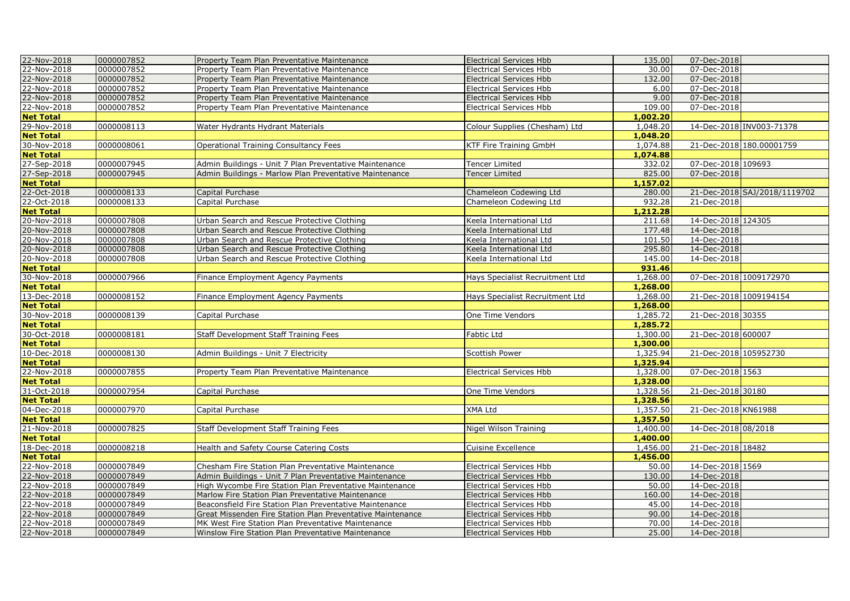| 22-Nov-2018      | 0000007852 | Property Team Plan Preventative Maintenance                | <b>Electrical Services Hbb</b>  | 135.00   | 07-Dec-2018            |                              |
|------------------|------------|------------------------------------------------------------|---------------------------------|----------|------------------------|------------------------------|
| 22-Nov-2018      | 0000007852 | Property Team Plan Preventative Maintenance                | <b>Electrical Services Hbb</b>  | 30.00    | 07-Dec-2018            |                              |
| 22-Nov-2018      | 0000007852 | Property Team Plan Preventative Maintenance                | <b>Electrical Services Hbb</b>  | 132.00   | 07-Dec-2018            |                              |
| 22-Nov-2018      | 0000007852 | Property Team Plan Preventative Maintenance                | <b>Electrical Services Hbb</b>  | 6.00     | 07-Dec-2018            |                              |
| 22-Nov-2018      | 0000007852 | Property Team Plan Preventative Maintenance                | <b>Electrical Services Hbb</b>  | 9.00     | 07-Dec-2018            |                              |
| 22-Nov-2018      | 0000007852 | Property Team Plan Preventative Maintenance                | <b>Electrical Services Hbb</b>  | 109.00   | 07-Dec-2018            |                              |
| <b>Net Total</b> |            |                                                            |                                 | 1,002.20 |                        |                              |
| 29-Nov-2018      | 0000008113 | Water Hydrants Hydrant Materials                           | Colour Supplies (Chesham) Ltd   | 1,048.20 |                        | 14-Dec-2018 INV003-71378     |
| <b>Net Total</b> |            |                                                            |                                 | 1,048.20 |                        |                              |
| 30-Nov-2018      | 0000008061 | Operational Training Consultancy Fees                      | KTF Fire Training GmbH          | 1,074.88 |                        | 21-Dec-2018 180.00001759     |
| <b>Net Total</b> |            |                                                            |                                 | 1,074.88 |                        |                              |
| 27-Sep-2018      | 0000007945 | Admin Buildings - Unit 7 Plan Preventative Maintenance     | <b>Tencer Limited</b>           | 332.02   | 07-Dec-2018 109693     |                              |
| 27-Sep-2018      | 0000007945 | Admin Buildings - Marlow Plan Preventative Maintenance     | <b>Tencer Limited</b>           | 825.00   | 07-Dec-2018            |                              |
| <b>Net Total</b> |            |                                                            |                                 | 1,157.02 |                        |                              |
| 22-Oct-2018      | 0000008133 | Capital Purchase                                           | Chameleon Codewing Ltd          | 280.00   |                        | 21-Dec-2018 SAJ/2018/1119702 |
| 22-Oct-2018      | 0000008133 | Capital Purchase                                           | Chameleon Codewing Ltd          | 932.28   | 21-Dec-2018            |                              |
| <b>Net Total</b> |            |                                                            |                                 | 1,212.28 |                        |                              |
| 20-Nov-2018      | 0000007808 | Urban Search and Rescue Protective Clothing                | Keela International Ltd         | 211.68   | 14-Dec-2018 124305     |                              |
| 20-Nov-2018      | 0000007808 | Urban Search and Rescue Protective Clothing                | Keela International Ltd         | 177.48   | 14-Dec-2018            |                              |
| 20-Nov-2018      | 0000007808 | Urban Search and Rescue Protective Clothing                | Keela International Ltd         | 101.50   | 14-Dec-2018            |                              |
| 20-Nov-2018      | 0000007808 | Urban Search and Rescue Protective Clothing                | Keela International Ltd         | 295.80   | 14-Dec-2018            |                              |
| 20-Nov-2018      | 0000007808 | Urban Search and Rescue Protective Clothing                | Keela International Ltd         | 145.00   | 14-Dec-2018            |                              |
| <b>Net Total</b> |            |                                                            |                                 | 931.46   |                        |                              |
| 30-Nov-2018      | 0000007966 | Finance Employment Agency Payments                         | Hays Specialist Recruitment Ltd | 1,268.00 | 07-Dec-2018 1009172970 |                              |
| <b>Net Total</b> |            |                                                            |                                 | 1,268.00 |                        |                              |
| 13-Dec-2018      | 0000008152 | Finance Employment Agency Payments                         | Hays Specialist Recruitment Ltd | 1,268.00 | 21-Dec-2018 1009194154 |                              |
| <b>Net Total</b> |            |                                                            |                                 | 1,268.00 |                        |                              |
| 30-Nov-2018      | 0000008139 | Capital Purchase                                           | One Time Vendors                | 1,285.72 | 21-Dec-2018 30355      |                              |
| <b>Net Total</b> |            |                                                            |                                 | 1,285.72 |                        |                              |
| 30-Oct-2018      | 0000008181 | Staff Development Staff Training Fees                      | Fabtic Ltd                      | 1,300.00 | 21-Dec-2018 600007     |                              |
| <b>Net Total</b> |            |                                                            |                                 | 1,300.00 |                        |                              |
| 10-Dec-2018      | 0000008130 | Admin Buildings - Unit 7 Electricity                       | Scottish Power                  | 1,325.94 | 21-Dec-2018 105952730  |                              |
| <b>Net Total</b> |            |                                                            |                                 | 1,325.94 |                        |                              |
| 22-Nov-2018      | 0000007855 | Property Team Plan Preventative Maintenance                | <b>Electrical Services Hbb</b>  | 1,328.00 | 07-Dec-2018 1563       |                              |
| <b>Net Total</b> |            |                                                            |                                 | 1,328.00 |                        |                              |
| 31-Oct-2018      | 0000007954 | Capital Purchase                                           | One Time Vendors                | 1,328.56 | 21-Dec-2018 30180      |                              |
| <b>Net Total</b> |            |                                                            |                                 | 1,328.56 |                        |                              |
| 04-Dec-2018      | 0000007970 | Capital Purchase                                           | XMA Ltd                         | 1,357.50 | 21-Dec-2018 KN61988    |                              |
| <b>Net Total</b> |            |                                                            |                                 | 1,357.50 |                        |                              |
| 21-Nov-2018      | 0000007825 | Staff Development Staff Training Fees                      | Nigel Wilson Training           | 1,400.00 | 14-Dec-2018 08/2018    |                              |
| <b>Net Total</b> |            |                                                            |                                 | 1,400.00 |                        |                              |
| 18-Dec-2018      | 0000008218 | Health and Safety Course Catering Costs                    | Cuisine Excellence              | 1,456.00 | 21-Dec-2018 18482      |                              |
| <b>Net Total</b> |            |                                                            |                                 | 1,456.00 |                        |                              |
| 22-Nov-2018      | 0000007849 | Chesham Fire Station Plan Preventative Maintenance         | <b>Electrical Services Hbb</b>  | 50.00    | 14-Dec-2018 1569       |                              |
| 22-Nov-2018      | 0000007849 | Admin Buildings - Unit 7 Plan Preventative Maintenance     | <b>Electrical Services Hbb</b>  | 130.00   | 14-Dec-2018            |                              |
| 22-Nov-2018      | 0000007849 | High Wycombe Fire Station Plan Preventative Maintenance    | <b>Electrical Services Hbb</b>  | 50.00    | 14-Dec-2018            |                              |
| 22-Nov-2018      | 0000007849 | Marlow Fire Station Plan Preventative Maintenance          | <b>Electrical Services Hbb</b>  | 160.00   | 14-Dec-2018            |                              |
| 22-Nov-2018      | 0000007849 | Beaconsfield Fire Station Plan Preventative Maintenance    | <b>Electrical Services Hbb</b>  | 45.00    | 14-Dec-2018            |                              |
| 22-Nov-2018      | 0000007849 | Great Missenden Fire Station Plan Preventative Maintenance | <b>Electrical Services Hbb</b>  | 90.00    | 14-Dec-2018            |                              |
| 22-Nov-2018      | 0000007849 | MK West Fire Station Plan Preventative Maintenance         | <b>Electrical Services Hbb</b>  | 70.00    | 14-Dec-2018            |                              |
| 22-Nov-2018      | 0000007849 | Winslow Fire Station Plan Preventative Maintenance         | <b>Electrical Services Hbb</b>  | 25.00    | 14-Dec-2018            |                              |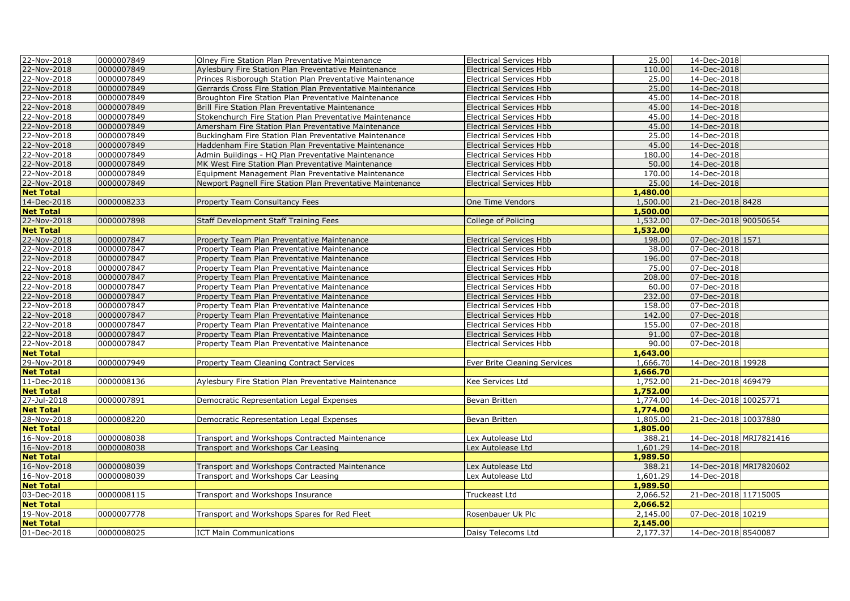| 22-Nov-2018      | 0000007849 | Olney Fire Station Plan Preventative Maintenance                                           | <b>Electrical Services Hbb</b> | 25.00    | 14-Dec-2018            |                        |
|------------------|------------|--------------------------------------------------------------------------------------------|--------------------------------|----------|------------------------|------------------------|
| 22-Nov-2018      | 0000007849 | Aylesbury Fire Station Plan Preventative Maintenance                                       | <b>Electrical Services Hbb</b> | 110.00   | 14-Dec-2018            |                        |
| 22-Nov-2018      | 0000007849 | Princes Risborough Station Plan Preventative Maintenance                                   | <b>Electrical Services Hbb</b> | 25.00    | 14-Dec-2018            |                        |
| 22-Nov-2018      | 0000007849 | Gerrards Cross Fire Station Plan Preventative Maintenance                                  | <b>Electrical Services Hbb</b> | 25.00    | 14-Dec-2018            |                        |
| 22-Nov-2018      | 0000007849 | Broughton Fire Station Plan Preventative Maintenance                                       | <b>Electrical Services Hbb</b> | 45.00    | 14-Dec-2018            |                        |
| 22-Nov-2018      | 0000007849 | Brill Fire Station Plan Preventative Maintenance                                           | <b>Electrical Services Hbb</b> | 45.00    | 14-Dec-2018            |                        |
| 22-Nov-2018      | 0000007849 | Stokenchurch Fire Station Plan Preventative Maintenance                                    | <b>Electrical Services Hbb</b> | 45.00    | 14-Dec-2018            |                        |
| 22-Nov-2018      | 0000007849 | Amersham Fire Station Plan Preventative Maintenance                                        | <b>Electrical Services Hbb</b> | 45.00    | 14-Dec-2018            |                        |
| 22-Nov-2018      | 0000007849 | Buckingham Fire Station Plan Preventative Maintenance                                      | <b>Electrical Services Hbb</b> | 25.00    | 14-Dec-2018            |                        |
| 22-Nov-2018      | 0000007849 | Haddenham Fire Station Plan Preventative Maintenance                                       | <b>Electrical Services Hbb</b> | 45.00    | 14-Dec-2018            |                        |
| 22-Nov-2018      | 0000007849 | Admin Buildings - HQ Plan Preventative Maintenance                                         | <b>Electrical Services Hbb</b> | 180.00   | 14-Dec-2018            |                        |
| 22-Nov-2018      | 0000007849 | MK West Fire Station Plan Preventative Maintenance                                         | <b>Electrical Services Hbb</b> | 50.00    | 14-Dec-2018            |                        |
| 22-Nov-2018      | 0000007849 | Equipment Management Plan Preventative Maintenance                                         | <b>Electrical Services Hbb</b> | 170.00   | 14-Dec-2018            |                        |
| 22-Nov-2018      | 0000007849 | Newport Pagnell Fire Station Plan Preventative Maintenance                                 | <b>Electrical Services Hbb</b> | 25.00    | 14-Dec-2018            |                        |
| <b>Net Total</b> |            |                                                                                            |                                | 1,480.00 |                        |                        |
| 14-Dec-2018      | 0000008233 | Property Team Consultancy Fees                                                             | One Time Vendors               | 1,500.00 | 21-Dec-2018 8428       |                        |
| <b>Net Total</b> |            |                                                                                            |                                | 1,500.00 |                        |                        |
| 22-Nov-2018      | 0000007898 | Staff Development Staff Training Fees                                                      | College of Policing            | 1,532.00 | 07-Dec-2018 90050654   |                        |
| <b>Net Total</b> |            |                                                                                            |                                | 1,532.00 |                        |                        |
| 22-Nov-2018      | 0000007847 | Property Team Plan Preventative Maintenance                                                | <b>Electrical Services Hbb</b> | 198.00   | 07-Dec-2018 1571       |                        |
| 22-Nov-2018      | 0000007847 |                                                                                            | <b>Electrical Services Hbb</b> | 38.00    | 07-Dec-2018            |                        |
| 22-Nov-2018      | 0000007847 | Property Team Plan Preventative Maintenance<br>Property Team Plan Preventative Maintenance | <b>Electrical Services Hbb</b> | 196.00   | 07-Dec-2018            |                        |
|                  |            |                                                                                            |                                |          |                        |                        |
| 22-Nov-2018      | 0000007847 | Property Team Plan Preventative Maintenance                                                | <b>Electrical Services Hbb</b> | 75.00    | 07-Dec-2018            |                        |
| 22-Nov-2018      | 0000007847 | Property Team Plan Preventative Maintenance                                                | <b>Electrical Services Hbb</b> | 208.00   | 07-Dec-2018            |                        |
| 22-Nov-2018      | 0000007847 | Property Team Plan Preventative Maintenance                                                | <b>Electrical Services Hbb</b> | 60.00    | 07-Dec-2018            |                        |
| 22-Nov-2018      | 0000007847 | Property Team Plan Preventative Maintenance                                                | <b>Electrical Services Hbb</b> | 232.00   | 07-Dec-2018            |                        |
| 22-Nov-2018      | 0000007847 | Property Team Plan Preventative Maintenance                                                | <b>Electrical Services Hbb</b> | 158.00   | 07-Dec-2018            |                        |
| 22-Nov-2018      | 0000007847 | Property Team Plan Preventative Maintenance                                                | <b>Electrical Services Hbb</b> | 142.00   | 07-Dec-2018            |                        |
| 22-Nov-2018      | 0000007847 | Property Team Plan Preventative Maintenance                                                | <b>Electrical Services Hbb</b> | 155.00   | 07-Dec-2018            |                        |
| 22-Nov-2018      | 0000007847 | Property Team Plan Preventative Maintenance                                                | <b>Electrical Services Hbb</b> | 91.00    | 07-Dec-2018            |                        |
| 22-Nov-2018      | 0000007847 | Property Team Plan Preventative Maintenance                                                | <b>Electrical Services Hbb</b> | 90.00    | 07-Dec-2018            |                        |
| <b>Net Total</b> |            |                                                                                            |                                | 1,643.00 |                        |                        |
| 29-Nov-2018      | 0000007949 | Property Team Cleaning Contract Services                                                   | Ever Brite Cleaning Services   | 1,666.70 | 14-Dec-2018 19928      |                        |
| <b>Net Total</b> |            |                                                                                            |                                | 1,666.70 |                        |                        |
| 11-Dec-2018      | 0000008136 | Aylesbury Fire Station Plan Preventative Maintenance                                       | Kee Services Ltd               | 1,752.00 | 21-Dec-2018 469479     |                        |
| <b>Net Total</b> |            |                                                                                            |                                | 1,752.00 |                        |                        |
| 27-Jul-2018      | 0000007891 | Democratic Representation Legal Expenses                                                   | Bevan Britten                  | 1,774.00 | 14-Dec-2018 10025771   |                        |
| <b>Net Total</b> |            |                                                                                            |                                | 1,774.00 |                        |                        |
| 28-Nov-2018      | 0000008220 | Democratic Representation Legal Expenses                                                   | Bevan Britten                  | 1,805.00 | 21-Dec-2018 10037880   |                        |
| <b>Net Total</b> |            |                                                                                            |                                | 1,805.00 |                        |                        |
| 16-Nov-2018      | 0000008038 | Transport and Workshops Contracted Maintenance                                             | Lex Autolease Ltd              | 388.21   |                        | 14-Dec-2018 MRI7821416 |
| 16-Nov-2018      | 0000008038 | Transport and Workshops Car Leasing                                                        | Lex Autolease Ltd              | 1,601.29 | 14-Dec-2018            |                        |
| <b>Net Total</b> |            |                                                                                            |                                | 1,989.50 |                        |                        |
| 16-Nov-2018      | 0000008039 | Transport and Workshops Contracted Maintenance                                             | Lex Autolease Ltd              | 388.21   | 14-Dec-2018 MRI7820602 |                        |
| 16-Nov-2018      | 0000008039 | Transport and Workshops Car Leasing                                                        | Lex Autolease Ltd              | 1,601.29 | 14-Dec-2018            |                        |
| <b>Net Total</b> |            |                                                                                            |                                | 1,989.50 |                        |                        |
| 03-Dec-2018      | 0000008115 | Transport and Workshops Insurance                                                          | Truckeast Ltd                  | 2,066.52 | 21-Dec-2018 11715005   |                        |
| <b>Net Total</b> |            |                                                                                            |                                | 2,066.52 |                        |                        |
| 19-Nov-2018      | 0000007778 | Transport and Workshops Spares for Red Fleet                                               | Rosenbauer Uk Plc              | 2,145.00 | 07-Dec-2018 10219      |                        |
| <b>Net Total</b> |            |                                                                                            |                                | 2,145.00 |                        |                        |
| 01-Dec-2018      | 0000008025 | <b>ICT Main Communications</b>                                                             | Daisy Telecoms Ltd             | 2,177.37 | 14-Dec-2018 8540087    |                        |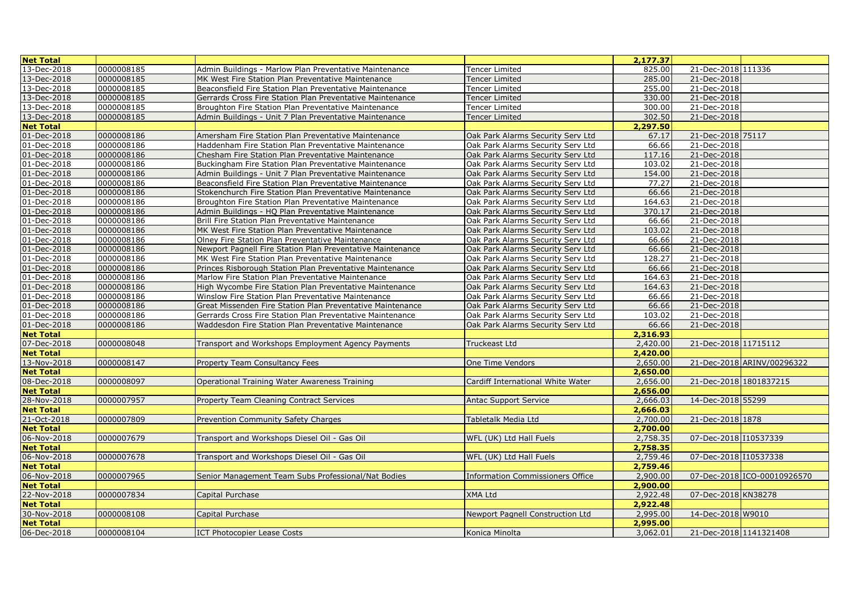| <b>Net Total</b> |            |                                                            |                                         | 2,177.37 |                             |
|------------------|------------|------------------------------------------------------------|-----------------------------------------|----------|-----------------------------|
| 13-Dec-2018      | 0000008185 | Admin Buildings - Marlow Plan Preventative Maintenance     | <b>Tencer Limited</b>                   | 825.00   | 21-Dec-2018 111336          |
| 13-Dec-2018      | 0000008185 | MK West Fire Station Plan Preventative Maintenance         | Tencer Limited                          | 285.00   | 21-Dec-2018                 |
| 13-Dec-2018      | 0000008185 | Beaconsfield Fire Station Plan Preventative Maintenance    | <b>Tencer Limited</b>                   | 255.00   | 21-Dec-2018                 |
| 13-Dec-2018      | 0000008185 | Gerrards Cross Fire Station Plan Preventative Maintenance  | Tencer Limited                          | 330.00   | 21-Dec-2018                 |
| 13-Dec-2018      | 0000008185 | Broughton Fire Station Plan Preventative Maintenance       | Tencer Limited                          | 300.00   | 21-Dec-2018                 |
| 13-Dec-2018      | 0000008185 | Admin Buildings - Unit 7 Plan Preventative Maintenance     | Tencer Limited                          | 302.50   | 21-Dec-2018                 |
| <b>Net Total</b> |            |                                                            |                                         | 2,297.50 |                             |
| 01-Dec-2018      | 0000008186 | Amersham Fire Station Plan Preventative Maintenance        | Oak Park Alarms Security Serv Ltd       | 67.17    | 21-Dec-2018 75117           |
| 01-Dec-2018      | 0000008186 | Haddenham Fire Station Plan Preventative Maintenance       | Oak Park Alarms Security Serv Ltd       | 66.66    | 21-Dec-2018                 |
| 01-Dec-2018      | 0000008186 | Chesham Fire Station Plan Preventative Maintenance         | Oak Park Alarms Security Serv Ltd       | 117.16   | 21-Dec-2018                 |
| 01-Dec-2018      | 0000008186 | Buckingham Fire Station Plan Preventative Maintenance      | Oak Park Alarms Security Serv Ltd       | 103.02   | 21-Dec-2018                 |
| 01-Dec-2018      | 0000008186 | Admin Buildings - Unit 7 Plan Preventative Maintenance     | Oak Park Alarms Security Serv Ltd       | 154.00   | 21-Dec-2018                 |
| 01-Dec-2018      | 0000008186 | Beaconsfield Fire Station Plan Preventative Maintenance    | Oak Park Alarms Security Serv Ltd       | 77.27    | 21-Dec-2018                 |
| 01-Dec-2018      | 0000008186 | Stokenchurch Fire Station Plan Preventative Maintenance    | Oak Park Alarms Security Serv Ltd       | 66.66    | 21-Dec-2018                 |
| 01-Dec-2018      | 0000008186 | Broughton Fire Station Plan Preventative Maintenance       | Oak Park Alarms Security Serv Ltd       | 164.63   | 21-Dec-2018                 |
| 01-Dec-2018      | 0000008186 | Admin Buildings - HQ Plan Preventative Maintenance         | Oak Park Alarms Security Serv Ltd       | 370.17   | 21-Dec-2018                 |
| 01-Dec-2018      | 0000008186 | Brill Fire Station Plan Preventative Maintenance           | Oak Park Alarms Security Serv Ltd       | 66.66    | 21-Dec-2018                 |
| 01-Dec-2018      | 0000008186 | MK West Fire Station Plan Preventative Maintenance         | Oak Park Alarms Security Serv Ltd       | 103.02   | 21-Dec-2018                 |
| 01-Dec-2018      | 0000008186 | Olney Fire Station Plan Preventative Maintenance           | Oak Park Alarms Security Serv Ltd       | 66.66    | 21-Dec-2018                 |
| 01-Dec-2018      | 0000008186 | Newport Pagnell Fire Station Plan Preventative Maintenance | Oak Park Alarms Security Serv Ltd       | 66.66    | 21-Dec-2018                 |
| 01-Dec-2018      | 0000008186 | MK West Fire Station Plan Preventative Maintenance         | Oak Park Alarms Security Serv Ltd       | 128.27   | 21-Dec-2018                 |
| 01-Dec-2018      | 0000008186 | Princes Risborough Station Plan Preventative Maintenance   | Oak Park Alarms Security Serv Ltd       | 66.66    | 21-Dec-2018                 |
| 01-Dec-2018      | 0000008186 | Marlow Fire Station Plan Preventative Maintenance          | Oak Park Alarms Security Serv Ltd       | 164.63   | 21-Dec-2018                 |
| 01-Dec-2018      | 0000008186 | High Wycombe Fire Station Plan Preventative Maintenance    | Oak Park Alarms Security Serv Ltd       | 164.63   | 21-Dec-2018                 |
| 01-Dec-2018      | 0000008186 | Winslow Fire Station Plan Preventative Maintenance         | Oak Park Alarms Security Serv Ltd       | 66.66    | 21-Dec-2018                 |
| 01-Dec-2018      | 0000008186 | Great Missenden Fire Station Plan Preventative Maintenance | Oak Park Alarms Security Serv Ltd       | 66.66    | 21-Dec-2018                 |
| 01-Dec-2018      | 0000008186 | Gerrards Cross Fire Station Plan Preventative Maintenance  | Oak Park Alarms Security Serv Ltd       | 103.02   | 21-Dec-2018                 |
| 01-Dec-2018      | 0000008186 | Waddesdon Fire Station Plan Preventative Maintenance       | Oak Park Alarms Security Serv Ltd       | 66.66    | 21-Dec-2018                 |
| <b>Net Total</b> |            |                                                            |                                         | 2,316.93 |                             |
| 07-Dec-2018      | 0000008048 | Transport and Workshops Employment Agency Payments         | Truckeast Ltd                           | 2,420.00 | 21-Dec-2018 11715112        |
| <b>Net Total</b> |            |                                                            |                                         | 2,420.00 |                             |
| 13-Nov-2018      | 0000008147 | Property Team Consultancy Fees                             | One Time Vendors                        | 2,650.00 | 21-Dec-2018 ARINV/00296322  |
| <b>Net Total</b> |            |                                                            |                                         | 2,650.00 |                             |
| 08-Dec-2018      | 0000008097 | Operational Training Water Awareness Training              | Cardiff International White Water       | 2,656.00 | 21-Dec-2018 1801837215      |
| <b>Net Total</b> |            |                                                            |                                         | 2,656.00 |                             |
| 28-Nov-2018      | 0000007957 | <b>Property Team Cleaning Contract Services</b>            | <b>Antac Support Service</b>            | 2,666.03 | 14-Dec-2018 55299           |
| <b>Net Total</b> |            |                                                            |                                         | 2,666.03 |                             |
| 21-Oct-2018      | 0000007809 | Prevention Community Safety Charges                        | Tabletalk Media Ltd                     | 2,700.00 | 21-Dec-2018 1878            |
| <b>Net Total</b> |            |                                                            |                                         | 2,700.00 |                             |
| 06-Nov-2018      | 0000007679 | Transport and Workshops Diesel Oil - Gas Oil               | WFL (UK) Ltd Hall Fuels                 | 2,758.35 | 07-Dec-2018 10537339        |
| <b>Net Total</b> |            |                                                            |                                         | 2,758.35 |                             |
| 06-Nov-2018      | 0000007678 | Transport and Workshops Diesel Oil - Gas Oil               | WFL (UK) Ltd Hall Fuels                 | 2,759.46 | 07-Dec-2018 10537338        |
| <b>Net Total</b> |            |                                                            |                                         | 2,759.46 |                             |
| 06-Nov-2018      | 0000007965 | Senior Management Team Subs Professional/Nat Bodies        | <b>Information Commissioners Office</b> | 2,900.00 | 07-Dec-2018 ICO-00010926570 |
| <b>Net Total</b> |            |                                                            |                                         | 2,900.00 |                             |
| 22-Nov-2018      | 0000007834 | Capital Purchase                                           | <b>XMA Ltd</b>                          | 2,922.48 | 07-Dec-2018 KN38278         |
| <b>Net Total</b> |            |                                                            |                                         | 2,922.48 |                             |
| 30-Nov-2018      | 0000008108 | Capital Purchase                                           | Newport Pagnell Construction Ltd        | 2,995.00 | 14-Dec-2018 W9010           |
| <b>Net Total</b> |            |                                                            |                                         | 2,995.00 |                             |
| 06-Dec-2018      | 0000008104 | <b>ICT Photocopier Lease Costs</b>                         | Konica Minolta                          | 3,062.01 | 21-Dec-2018 1141321408      |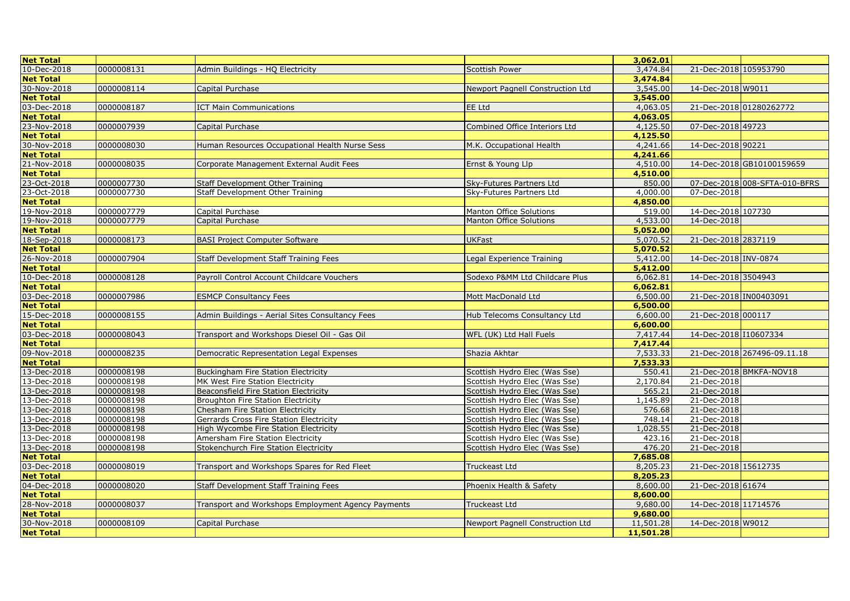| <b>Net Total</b>                |            |                                                    |                                  | 3,062.01             |                        |                               |
|---------------------------------|------------|----------------------------------------------------|----------------------------------|----------------------|------------------------|-------------------------------|
| 10-Dec-2018                     | 0000008131 | Admin Buildings - HQ Electricity                   | <b>Scottish Power</b>            | 3,474.84             | 21-Dec-2018 105953790  |                               |
| <b>Net Total</b>                |            |                                                    |                                  | 3,474.84             |                        |                               |
| 30-Nov-2018                     | 0000008114 | Capital Purchase                                   | Newport Pagnell Construction Ltd | 3,545.00             | 14-Dec-2018 W9011      |                               |
| <b>Net Total</b>                |            |                                                    |                                  | 3,545.00             |                        |                               |
| 03-Dec-2018                     | 0000008187 | <b>ICT Main Communications</b>                     | EE Ltd                           | 4,063.05             |                        | 21-Dec-2018 01280262772       |
| <b>Net Total</b>                |            |                                                    |                                  | 4,063.05             |                        |                               |
| 23-Nov-2018                     | 0000007939 | Capital Purchase                                   | Combined Office Interiors Ltd    | 4,125.50             | 07-Dec-2018 49723      |                               |
| <b>Net Total</b>                |            |                                                    |                                  | 4,125.50             |                        |                               |
| 30-Nov-2018                     | 0000008030 | Human Resources Occupational Health Nurse Sess     | M.K. Occupational Health         | 4,241.66             | 14-Dec-2018 90221      |                               |
| <b>Net Total</b>                |            |                                                    |                                  | 4,241.66             |                        |                               |
| 21-Nov-2018                     | 0000008035 | Corporate Management External Audit Fees           | Ernst & Young Llp                | 4,510.00             |                        | 14-Dec-2018 GB10100159659     |
| <b>Net Total</b>                |            |                                                    |                                  | 4,510.00             |                        |                               |
| 23-Oct-2018                     | 0000007730 | Staff Development Other Training                   | Sky-Futures Partners Ltd         | 850.00               |                        | 07-Dec-2018 008-SFTA-010-BFRS |
| 23-Oct-2018                     | 0000007730 | Staff Development Other Training                   | Sky-Futures Partners Ltd         | 4,000.00             | 07-Dec-2018            |                               |
| <b>Net Total</b>                |            |                                                    |                                  | 4,850.00             |                        |                               |
| 19-Nov-2018                     | 0000007779 | Capital Purchase                                   | Manton Office Solutions          | 519.00               | 14-Dec-2018 107730     |                               |
| 19-Nov-2018                     | 0000007779 | Capital Purchase                                   | <b>Manton Office Solutions</b>   | 4,533,00             | 14-Dec-2018            |                               |
| <b>Net Total</b>                |            |                                                    |                                  | 5,052.00             |                        |                               |
| 18-Sep-2018                     | 0000008173 | <b>BASI Project Computer Software</b>              | <b>UKFast</b>                    | 5,070.52             | 21-Dec-2018 2837119    |                               |
| <b>Net Total</b>                |            |                                                    |                                  | 5,070.52             |                        |                               |
| 26-Nov-2018                     | 0000007904 | Staff Development Staff Training Fees              | Legal Experience Training        | 5,412.00             | 14-Dec-2018 INV-0874   |                               |
| <b>Net Total</b>                |            |                                                    |                                  | 5,412.00             |                        |                               |
| 10-Dec-2018                     | 0000008128 | Payroll Control Account Childcare Vouchers         | Sodexo P&MM Ltd Childcare Plus   | 6,062.81             | 14-Dec-2018 3504943    |                               |
| <b>Net Total</b>                |            |                                                    |                                  | 6,062.81             |                        |                               |
| 03-Dec-2018                     | 0000007986 | <b>ESMCP Consultancy Fees</b>                      | Mott MacDonald Ltd               | 6,500.00             | 21-Dec-2018 IN00403091 |                               |
| <b>Net Total</b>                |            |                                                    |                                  | 6,500.00             |                        |                               |
| 15-Dec-2018                     | 0000008155 | Admin Buildings - Aerial Sites Consultancy Fees    | Hub Telecoms Consultancy Ltd     | 6,600.00             | 21-Dec-2018 000117     |                               |
| <b>Net Total</b>                |            |                                                    |                                  | 6,600.00             |                        |                               |
| 03-Dec-2018                     | 0000008043 | Transport and Workshops Diesel Oil - Gas Oil       | WFL (UK) Ltd Hall Fuels          | 7,417.44             | 14-Dec-2018 110607334  |                               |
| <b>Net Total</b>                | 0000008235 |                                                    | Shazia Akhtar                    | 7.417.44             |                        |                               |
| 09-Nov-2018                     |            | Democratic Representation Legal Expenses           |                                  | 7,533.33<br>7,533,33 |                        | 21-Dec-2018 267496-09.11.18   |
| <b>Net Total</b><br>13-Dec-2018 | 0000008198 | <b>Buckingham Fire Station Electricity</b>         | Scottish Hydro Elec (Was Sse)    | 550.41               |                        | 21-Dec-2018 BMKFA-NOV18       |
| 13-Dec-2018                     | 0000008198 | MK West Fire Station Electricity                   | Scottish Hydro Elec (Was Sse)    | 2,170.84             | 21-Dec-2018            |                               |
| 13-Dec-2018                     | 0000008198 | Beaconsfield Fire Station Electricity              | Scottish Hydro Elec (Was Sse)    | 565.21               | 21-Dec-2018            |                               |
| 13-Dec-2018                     | 0000008198 | <b>Broughton Fire Station Electricity</b>          | Scottish Hydro Elec (Was Sse)    | 1,145.89             | 21-Dec-2018            |                               |
| 13-Dec-2018                     | 0000008198 | Chesham Fire Station Electricity                   | Scottish Hydro Elec (Was Sse)    | 576.68               | 21-Dec-2018            |                               |
| 13-Dec-2018                     | 0000008198 | Gerrards Cross Fire Station Electricity            | Scottish Hydro Elec (Was Sse)    | 748.14               | 21-Dec-2018            |                               |
| 13-Dec-2018                     | 0000008198 | High Wycombe Fire Station Electricity              | Scottish Hydro Elec (Was Sse)    | 1,028.55             | 21-Dec-2018            |                               |
| 13-Dec-2018                     | 0000008198 | Amersham Fire Station Electricity                  | Scottish Hydro Elec (Was Sse)    | 423.16               | 21-Dec-2018            |                               |
| 13-Dec-2018                     | 0000008198 | Stokenchurch Fire Station Electricity              | Scottish Hydro Elec (Was Sse)    | 476.20               | 21-Dec-2018            |                               |
| <b>Net Total</b>                |            |                                                    |                                  | 7,685.08             |                        |                               |
| 03-Dec-2018                     | 0000008019 | Transport and Workshops Spares for Red Fleet       | Truckeast Ltd                    | 8,205.23             | 21-Dec-2018 15612735   |                               |
| <b>Net Total</b>                |            |                                                    |                                  | 8,205.23             |                        |                               |
| 04-Dec-2018                     | 0000008020 | Staff Development Staff Training Fees              | Phoenix Health & Safety          | 8,600.00             | 21-Dec-2018 61674      |                               |
| <b>Net Total</b>                |            |                                                    |                                  | 8,600.00             |                        |                               |
| 28-Nov-2018                     | 0000008037 | Transport and Workshops Employment Agency Payments | Truckeast Ltd                    | 9,680.00             | 14-Dec-2018 11714576   |                               |
| <b>Net Total</b>                |            |                                                    |                                  | 9,680.00             |                        |                               |
| 30-Nov-2018                     | 0000008109 | Capital Purchase                                   | Newport Pagnell Construction Ltd | 11,501.28            | 14-Dec-2018 W9012      |                               |
| <b>Net Total</b>                |            |                                                    |                                  | 11,501.28            |                        |                               |